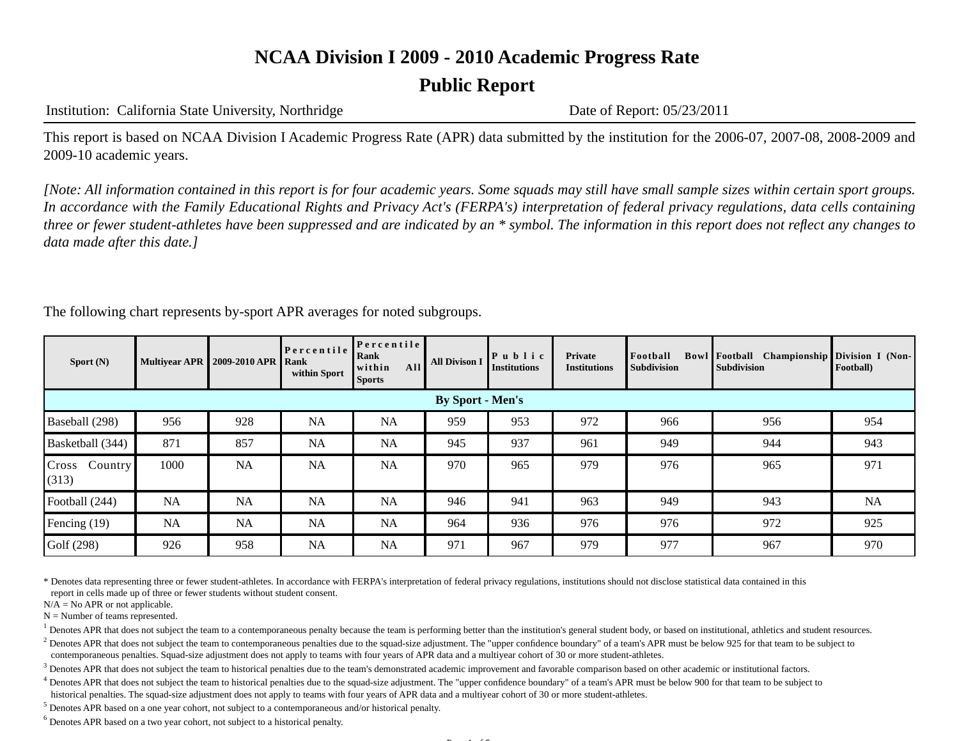## **Public Report**

#### Institution: California State University, Northridge Date of Report: 05/23/2011

This report is based on NCAA Division I Academic Progress Rate (APR) data submitted by the institution for the 2006-07, 2007-08, 2008-2009 and 2009-10 academic years.

*[Note: All information contained in this report is for four academic years. Some squads may still have small sample sizes within certain sport groups. In accordance with the Family Educational Rights and Privacy Act's (FERPA's) interpretation of federal privacy regulations, data cells containing three or fewer student-athletes have been suppressed and are indicated by an \* symbol. The information in this report does not reflect any changes to data made after this date.]*

The following chart represents by-sport APR averages for noted subgroups.

| Sport $(N)$               |           | <b>Multivear APR   2009-2010 APR  </b> | Percentile<br>Rank<br>within Sport | Percentile<br>Rank<br>All<br>within<br><b>Sports</b> | <b>All Divison I</b> | $\mathbf{P}$ u b l i c<br><b>Institutions</b> | Private<br><b>Institutions</b> | Football<br><b>Subdivision</b> | Bowl Football Championship Division I (Non-<br><b>Subdivision</b> | Football) |
|---------------------------|-----------|----------------------------------------|------------------------------------|------------------------------------------------------|----------------------|-----------------------------------------------|--------------------------------|--------------------------------|-------------------------------------------------------------------|-----------|
| <b>By Sport - Men's</b>   |           |                                        |                                    |                                                      |                      |                                               |                                |                                |                                                                   |           |
| Baseball (298)            | 956       | 928                                    | <b>NA</b>                          | <b>NA</b>                                            | 959                  | 953                                           | 972                            | 966                            | 956                                                               | 954       |
| Basketball (344)          | 871       | 857                                    | <b>NA</b>                          | <b>NA</b>                                            | 945                  | 937                                           | 961                            | 949                            | 944                                                               | 943       |
| Cross<br>Country<br>(313) | 1000      | <b>NA</b>                              | <b>NA</b>                          | <b>NA</b>                                            | 970                  | 965                                           | 979                            | 976                            | 965                                                               | 971       |
| Football (244)            | NA        | <b>NA</b>                              | <b>NA</b>                          | <b>NA</b>                                            | 946                  | 941                                           | 963                            | 949                            | 943                                                               | NA        |
| Fencing (19)              | <b>NA</b> | <b>NA</b>                              | <b>NA</b>                          | <b>NA</b>                                            | 964                  | 936                                           | 976                            | 976                            | 972                                                               | 925       |
| Golf (298)                | 926       | 958                                    | <b>NA</b>                          | NA                                                   | 971                  | 967                                           | 979                            | 977                            | 967                                                               | 970       |

\* Denotes data representing three or fewer student-athletes. In accordance with FERPA's interpretation of federal privacy regulations, institutions should not disclose statistical data contained in this report in cells made up of three or fewer students without student consent.

 $N/A = No$  APR or not applicable.

 $N =$  Number of teams represented.

<sup>1</sup> Denotes APR that does not subject the team to a contemporaneous penalty because the team is performing better than the institution's general student body, or based on institutional, athletics and student resources.

<sup>2</sup> Denotes APR that does not subject the team to contemporaneous penalties due to the squad-size adjustment. The "upper confidence boundary" of a team's APR must be below 925 for that team to be subject to contemporaneous penalties. Squad-size adjustment does not apply to teams with four years of APR data and a multiyear cohort of 30 or more student-athletes.

 $<sup>3</sup>$  Denotes APR that does not subject the team to historical penalties due to the team's demonstrated academic improvement and favorable comparison based on other academic or institutional factors.</sup>

 $4$  Denotes APR that does not subject the team to historical penalties due to the squad-size adjustment. The "upper confidence boundary" of a team's APR must be below 900 for that team to be subject to historical penalties. The squad-size adjustment does not apply to teams with four years of APR data and a multiyear cohort of 30 or more student-athletes.

 $<sup>5</sup>$  Denotes APR based on a one year cohort, not subject to a contemporaneous and/or historical penalty.</sup>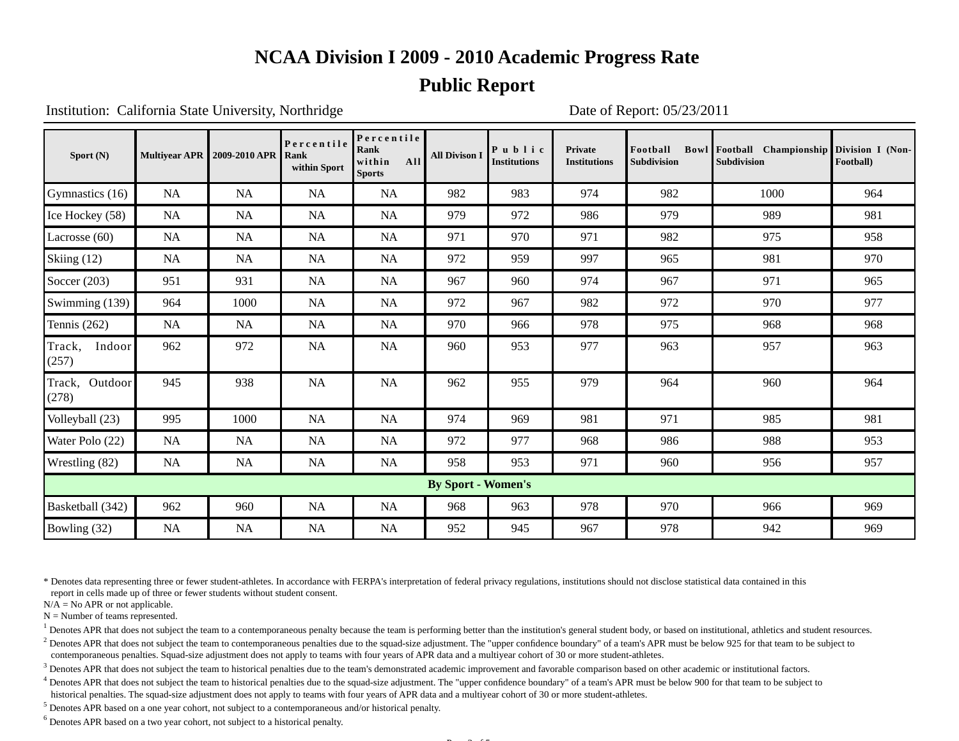### **Public Report**

Institution: California State University, Northridge Date of Report: 05/23/2011

| Sport $(N)$                |           | <b>Multivear APR 2009-2010 APR</b> | Percentile<br>Rank<br>within Sport | Percentile<br>Rank<br>All<br>within<br><b>Sports</b> | <b>All Divison I</b> | Public<br><b>Institutions</b> | <b>Private</b><br><b>Institutions</b> | Football<br><b>Subdivision</b> | Bowl Football Championship Division I (Non-<br><b>Subdivision</b> | Football) |
|----------------------------|-----------|------------------------------------|------------------------------------|------------------------------------------------------|----------------------|-------------------------------|---------------------------------------|--------------------------------|-------------------------------------------------------------------|-----------|
| Gymnastics (16)            | <b>NA</b> | <b>NA</b>                          | NA                                 | NA                                                   | 982                  | 983                           | 974                                   | 982                            | 1000                                                              | 964       |
| Ice Hockey (58)            | <b>NA</b> | <b>NA</b>                          | NA                                 | NA                                                   | 979                  | 972                           | 986                                   | 979                            | 989                                                               | 981       |
| Lacrosse $(60)$            | <b>NA</b> | <b>NA</b>                          | NA                                 | NA                                                   | 971                  | 970                           | 971                                   | 982                            | 975                                                               | 958       |
| Skiing (12)                | <b>NA</b> | NA                                 | NA                                 | NA                                                   | 972                  | 959                           | 997                                   | 965                            | 981                                                               | 970       |
| Soccer $(203)$             | 951       | 931                                | $\rm NA$                           | NA                                                   | 967                  | 960                           | 974                                   | 967                            | 971                                                               | 965       |
| Swimming $(139)$           | 964       | 1000                               | $\rm NA$                           | NA                                                   | 972                  | 967                           | 982                                   | 972                            | 970                                                               | 977       |
| Tennis $(262)$             | <b>NA</b> | NA                                 | NA                                 | <b>NA</b>                                            | 970                  | 966                           | 978                                   | 975                            | 968                                                               | 968       |
| Track,<br>Indoor<br>(257)  | 962       | 972                                | NA                                 | NA                                                   | 960                  | 953                           | 977                                   | 963                            | 957                                                               | 963       |
| Outdoor<br>Track,<br>(278) | 945       | 938                                | <b>NA</b>                          | <b>NA</b>                                            | 962                  | 955                           | 979                                   | 964                            | 960                                                               | 964       |
| Volleyball (23)            | 995       | 1000                               | $\rm NA$                           | NA                                                   | 974                  | 969                           | 981                                   | 971                            | 985                                                               | 981       |
| Water Polo (22)            | NA        | NA                                 | $\rm NA$                           | NA                                                   | 972                  | 977                           | 968                                   | 986                            | 988                                                               | 953       |
| Wrestling (82)             | NA        | NA                                 | $\rm NA$                           | NA                                                   | 958                  | 953                           | 971                                   | 960                            | 956                                                               | 957       |
| <b>By Sport - Women's</b>  |           |                                    |                                    |                                                      |                      |                               |                                       |                                |                                                                   |           |
| Basketball (342)           | 962       | 960                                | $\rm NA$                           | <b>NA</b>                                            | 968                  | 963                           | 978                                   | 970                            | 966                                                               | 969       |
| Bowling (32)               | NA        | NA                                 | $\rm NA$                           | NA                                                   | 952                  | 945                           | 967                                   | 978                            | 942                                                               | 969       |

\* Denotes data representing three or fewer student-athletes. In accordance with FERPA's interpretation of federal privacy regulations, institutions should not disclose statistical data contained in this report in cells made up of three or fewer students without student consent.

 $N/A = No$  APR or not applicable.

 $N =$  Number of teams represented.

<sup>1</sup> Denotes APR that does not subject the team to a contemporaneous penalty because the team is performing better than the institution's general student body, or based on institutional, athletics and student resources.

<sup>2</sup> Denotes APR that does not subject the team to contemporaneous penalties due to the squad-size adjustment. The "upper confidence boundary" of a team's APR must be below 925 for that team to be subject to contemporaneous penalties. Squad-size adjustment does not apply to teams with four years of APR data and a multiyear cohort of 30 or more student-athletes.

 $<sup>3</sup>$  Denotes APR that does not subject the team to historical penalties due to the team's demonstrated academic improvement and favorable comparison based on other academic or institutional factors.</sup>

 $4$  Denotes APR that does not subject the team to historical penalties due to the squad-size adjustment. The "upper confidence boundary" of a team's APR must be below 900 for that team to be subject to historical penalties. The squad-size adjustment does not apply to teams with four years of APR data and a multiyear cohort of 30 or more student-athletes.

 $<sup>5</sup>$  Denotes APR based on a one year cohort, not subject to a contemporaneous and/or historical penalty.</sup>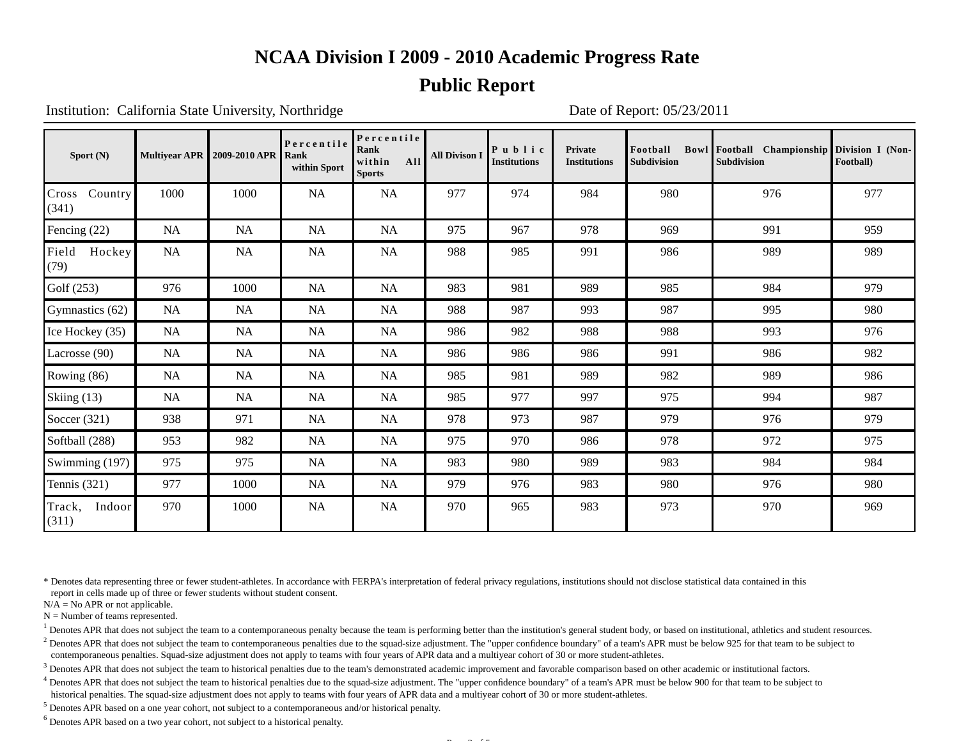### **Public Report**

Institution: California State University, Northridge Date of Report: 05/23/2011

| Sport $(N)$               |           | <b>Multiyear APR   2009-2010 APR</b> | Percentile<br>Rank<br>within Sport | Percentile<br>Rank<br>All<br>within<br><b>Sports</b> | <b>All Divison I</b> | Public<br>Institutions | <b>Private</b><br><b>Institutions</b> | Football<br><b>Subdivision</b> | Bowl Football Championship Division I (Non-<br><b>Subdivision</b> | Football) |
|---------------------------|-----------|--------------------------------------|------------------------------------|------------------------------------------------------|----------------------|------------------------|---------------------------------------|--------------------------------|-------------------------------------------------------------------|-----------|
| Country<br>Cross<br>(341) | 1000      | 1000                                 | NA                                 | <b>NA</b>                                            | 977                  | 974                    | 984                                   | 980                            | 976                                                               | 977       |
| Fencing (22)              | <b>NA</b> | <b>NA</b>                            | NA                                 | <b>NA</b>                                            | 975                  | 967                    | 978                                   | 969                            | 991                                                               | 959       |
| Field<br>Hockey<br>(79)   | NA        | NA                                   | <b>NA</b>                          | <b>NA</b>                                            | 988                  | 985                    | 991                                   | 986                            | 989                                                               | 989       |
| Golf $(253)$              | 976       | 1000                                 | NA                                 | NA                                                   | 983                  | 981                    | 989                                   | 985                            | 984                                                               | 979       |
| Gymnastics (62)           | <b>NA</b> | <b>NA</b>                            | NA                                 | NA                                                   | 988                  | 987                    | 993                                   | 987                            | 995                                                               | 980       |
| Ice Hockey (35)           | <b>NA</b> | <b>NA</b>                            | NA                                 | NA                                                   | 986                  | 982                    | 988                                   | 988                            | 993                                                               | 976       |
| Lacrosse (90)             | <b>NA</b> | <b>NA</b>                            | NA                                 | NA                                                   | 986                  | 986                    | 986                                   | 991                            | 986                                                               | 982       |
| Rowing (86)               | <b>NA</b> | NA                                   | NA                                 | NA                                                   | 985                  | 981                    | 989                                   | 982                            | 989                                                               | 986       |
| Skiing (13)               | <b>NA</b> | <b>NA</b>                            | NA                                 | <b>NA</b>                                            | 985                  | 977                    | 997                                   | 975                            | 994                                                               | 987       |
| Soccer $(321)$            | 938       | 971                                  | <b>NA</b>                          | <b>NA</b>                                            | 978                  | 973                    | 987                                   | 979                            | 976                                                               | 979       |
| Softball (288)            | 953       | 982                                  | <b>NA</b>                          | NA                                                   | 975                  | 970                    | 986                                   | 978                            | 972                                                               | 975       |
| Swimming (197)            | 975       | 975                                  | <b>NA</b>                          | NA                                                   | 983                  | 980                    | 989                                   | 983                            | 984                                                               | 984       |
| Tennis $(321)$            | 977       | 1000                                 | $\rm NA$                           | NA                                                   | 979                  | 976                    | 983                                   | 980                            | 976                                                               | 980       |
| Track,<br>Indoor<br>(311) | 970       | 1000                                 | NA                                 | <b>NA</b>                                            | 970                  | 965                    | 983                                   | 973                            | 970                                                               | 969       |

\* Denotes data representing three or fewer student-athletes. In accordance with FERPA's interpretation of federal privacy regulations, institutions should not disclose statistical data contained in this report in cells made up of three or fewer students without student consent.

 $N/A = No$  APR or not applicable.

 $N =$  Number of teams represented.

<sup>1</sup> Denotes APR that does not subject the team to a contemporaneous penalty because the team is performing better than the institution's general student body, or based on institutional, athletics and student resources.

<sup>2</sup> Denotes APR that does not subject the team to contemporaneous penalties due to the squad-size adjustment. The "upper confidence boundary" of a team's APR must be below 925 for that team to be subject to contemporaneous penalties. Squad-size adjustment does not apply to teams with four years of APR data and a multiyear cohort of 30 or more student-athletes.

 $<sup>3</sup>$  Denotes APR that does not subject the team to historical penalties due to the team's demonstrated academic improvement and favorable comparison based on other academic or institutional factors.</sup>

 $4$  Denotes APR that does not subject the team to historical penalties due to the squad-size adjustment. The "upper confidence boundary" of a team's APR must be below 900 for that team to be subject to historical penalties. The squad-size adjustment does not apply to teams with four years of APR data and a multiyear cohort of 30 or more student-athletes.

 $<sup>5</sup>$  Denotes APR based on a one year cohort, not subject to a contemporaneous and/or historical penalty.</sup>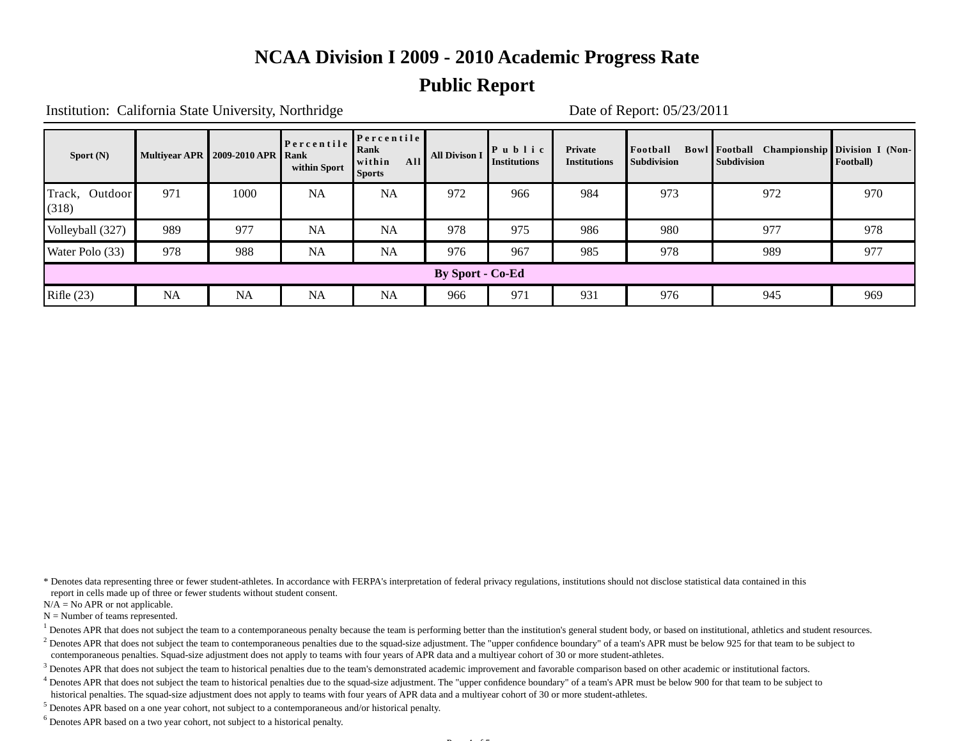### **Public Report**

Institution: California State University, Northridge Date of Report: 05/23/2011

| Sport $(N)$             | <b>Multiyear APR</b> | 2009-2010 APR   Rank | Percentile<br>within Sport | Percentile<br>Rank<br>All<br><b>I</b> within<br>Sports | <b>All Divison I</b> | $\mathbf{P}$ u b l i c<br><b>Institutions</b> | Private<br><b>Institutions</b> | Football<br><b>Subdivision</b> | <b>Bowl Football</b> Championship Division I (Non-<br><b>Subdivision</b> | Football) |
|-------------------------|----------------------|----------------------|----------------------------|--------------------------------------------------------|----------------------|-----------------------------------------------|--------------------------------|--------------------------------|--------------------------------------------------------------------------|-----------|
| Track, Outdoor<br>(318) | 971                  | 1000                 | <b>NA</b>                  | <b>NA</b>                                              | 972                  | 966                                           | 984                            | 973                            | 972                                                                      | 970       |
| Volleyball (327)        | 989                  | 977                  | <b>NA</b>                  | <b>NA</b>                                              | 978                  | 975                                           | 986                            | 980                            | 977                                                                      | 978       |
| Water Polo (33)         | 978                  | 988                  | <b>NA</b>                  | <b>NA</b>                                              | 976                  | 967                                           | 985                            | 978                            | 989                                                                      | 977       |
| <b>By Sport - Co-Ed</b> |                      |                      |                            |                                                        |                      |                                               |                                |                                |                                                                          |           |
| Rifle $(23)$            | <b>NA</b>            | <b>NA</b>            | <b>NA</b>                  | NA                                                     | 966                  | 971                                           | 931                            | 976                            | 945                                                                      | 969       |

\* Denotes data representing three or fewer student-athletes. In accordance with FERPA's interpretation of federal privacy regulations, institutions should not disclose statistical data contained in this report in cells made up of three or fewer students without student consent.

 $N/A = No$  APR or not applicable.

 $N =$  Number of teams represented.

<sup>1</sup> Denotes APR that does not subject the team to a contemporaneous penalty because the team is performing better than the institution's general student body, or based on institutional, athletics and student resources.

<sup>2</sup> Denotes APR that does not subject the team to contemporaneous penalties due to the squad-size adjustment. The "upper confidence boundary" of a team's APR must be below 925 for that team to be subject to contemporaneous penalties. Squad-size adjustment does not apply to teams with four years of APR data and a multiyear cohort of 30 or more student-athletes.

 $<sup>3</sup>$  Denotes APR that does not subject the team to historical penalties due to the team's demonstrated academic improvement and favorable comparison based on other academic or institutional factors.</sup>

 $4$  Denotes APR that does not subject the team to historical penalties due to the squad-size adjustment. The "upper confidence boundary" of a team's APR must be below 900 for that team to be subject to historical penalties. The squad-size adjustment does not apply to teams with four years of APR data and a multiyear cohort of 30 or more student-athletes.

 $<sup>5</sup>$  Denotes APR based on a one year cohort, not subject to a contemporaneous and/or historical penalty.</sup>